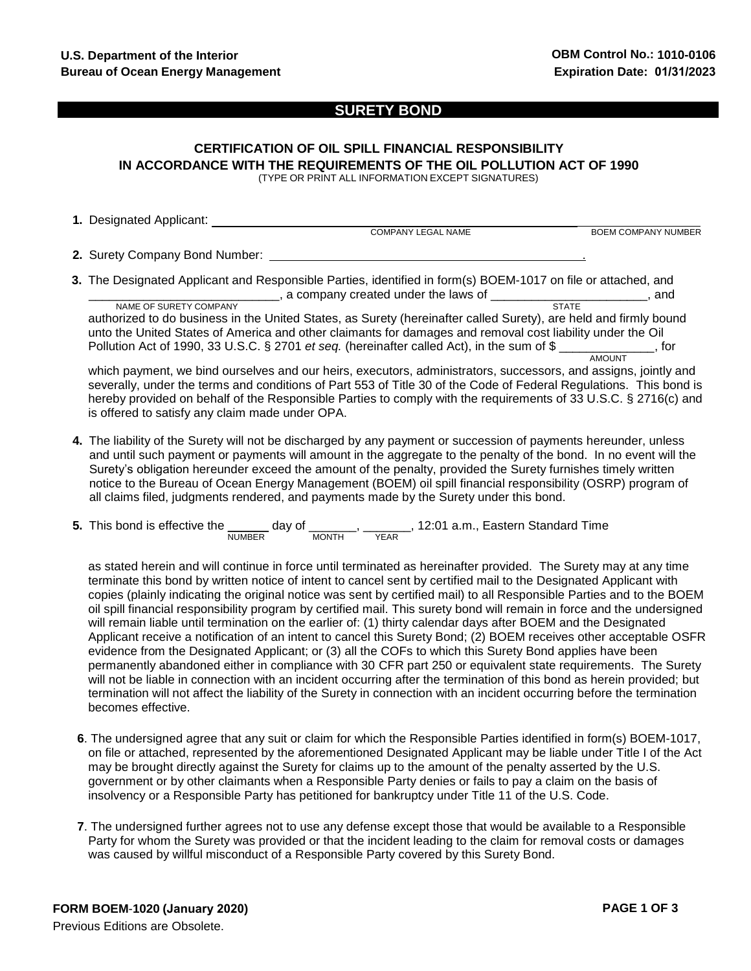### **SURETY BOND**

# **CERTIFICATION OF OIL SPILL FINANCIAL RESPONSIBILITY IN ACCORDANCE WITH THE REQUIREMENTS OF THE OIL POLLUTION ACT OF 1990**

(TYPE OR PRINT ALL INFORMATION EXCEPT SIGNATURES)

| 1. Designated Applicant:                                                                                           |                            |  |  |  |  |  |
|--------------------------------------------------------------------------------------------------------------------|----------------------------|--|--|--|--|--|
| <b>COMPANY LEGAL NAME</b>                                                                                          | <b>BOEM COMPANY NUMBER</b> |  |  |  |  |  |
| 2. Surety Company Bond Number:                                                                                     |                            |  |  |  |  |  |
| 3. The Designated Applicant and Responsible Parties, identified in form(s) BOEM-1017 on file or attached, and      |                            |  |  |  |  |  |
| given by a company created under the laws of <b>contract and a company</b> created under the laws of               | and                        |  |  |  |  |  |
| <b>STATE</b><br>NAME OF SURETY COMPANY                                                                             |                            |  |  |  |  |  |
| authorized to do business in the United States, as Surety (hereinafter called Surety), are held and firmly bound   |                            |  |  |  |  |  |
| unto the United States of America and other claimants for damages and removal cost liability under the Oil         |                            |  |  |  |  |  |
| Pollution Act of 1990, 33 U.S.C. § 2701 et seq. (hereinafter called Act), in the sum of \$                         | of the f                   |  |  |  |  |  |
| <b>AMOUNT</b>                                                                                                      |                            |  |  |  |  |  |
| which payment, we bind ourselves and our heirs, executors, administrators, successors, and assigns, jointly and    |                            |  |  |  |  |  |
| severally, under the terms and conditions of Part 553 of Title 30 of the Code of Federal Regulations. This bond is |                            |  |  |  |  |  |
| hereby provided on behalf of the Responsible Parties to comply with the requirements of 33 U.S.C. § 2716(c) and    |                            |  |  |  |  |  |
| is offered to satisfy any claim made under OPA.                                                                    |                            |  |  |  |  |  |
|                                                                                                                    |                            |  |  |  |  |  |

**4.** The liability of the Surety will not be discharged by any payment or succession of payments hereunder, unless and until such payment or payments will amount in the aggregate to the penalty of the bond. In no event will the Surety's obligation hereunder exceed the amount of the penalty, provided the Surety furnishes timely written notice to the Bureau of Ocean Energy Management (BOEM) oil spill financial responsibility (OSRP) program of all claims filed, judgments rendered, and payments made by the Surety under this bond.

| 5. This bond is effective the | dav of        |              |      |  | 12:01 a.m., Eastern Standard Time |  |
|-------------------------------|---------------|--------------|------|--|-----------------------------------|--|
|                               | <b>NUMBER</b> | <b>MONTH</b> | YEAR |  |                                   |  |

as stated herein and will continue in force until terminated as hereinafter provided. The Surety may at any time terminate this bond by written notice of intent to cancel sent by certified mail to the Designated Applicant with copies (plainly indicating the original notice was sent by certified mail) to all Responsible Parties and to the BOEM oil spill financial responsibility program by certified mail. This surety bond will remain in force and the undersigned will remain liable until termination on the earlier of: (1) thirty calendar days after BOEM and the Designated Applicant receive a notification of an intent to cancel this Surety Bond; (2) BOEM receives other acceptable OSFR evidence from the Designated Applicant; or (3) all the COFs to which this Surety Bond applies have been permanently abandoned either in compliance with 30 CFR part 250 or equivalent state requirements. The Surety will not be liable in connection with an incident occurring after the termination of this bond as herein provided; but termination will not affect the liability of the Surety in connection with an incident occurring before the termination becomes effective.

- **6**. The undersigned agree that any suit or claim for which the Responsible Parties identified in form(s) BOEM-1017, on file or attached, represented by the aforementioned Designated Applicant may be liable under Title I of the Act may be brought directly against the Surety for claims up to the amount of the penalty asserted by the U.S. government or by other claimants when a Responsible Party denies or fails to pay a claim on the basis of insolvency or a Responsible Party has petitioned for bankruptcy under Title 11 of the U.S. Code.
- **7**. The undersigned further agrees not to use any defense except those that would be available to a Responsible Party for whom the Surety was provided or that the incident leading to the claim for removal costs or damages was caused by willful misconduct of a Responsible Party covered by this Surety Bond.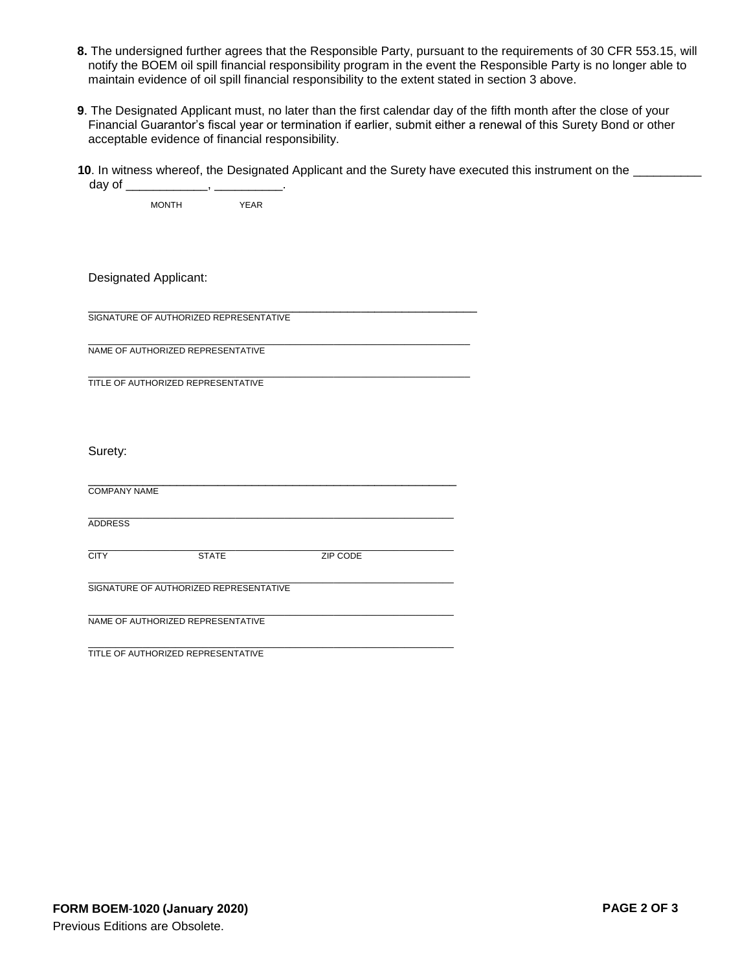- **8.** The undersigned further agrees that the Responsible Party, pursuant to the requirements of 30 CFR 553.15, will notify the BOEM oil spill financial responsibility program in the event the Responsible Party is no longer able to maintain evidence of oil spill financial responsibility to the extent stated in section 3 above.
- **9**. The Designated Applicant must, no later than the first calendar day of the fifth month after the close of your Financial Guarantor's fiscal year or termination if earlier, submit either a renewal of this Surety Bond or other acceptable evidence of financial responsibility.
- **10**. In witness whereof, the Designated Applicant and the Surety have executed this instrument on the day of which is a set of  $\sim$

MONTH YEAR

Designated Applicant:

\_\_\_\_\_\_\_\_\_\_\_\_\_\_\_\_\_\_\_\_\_\_\_\_\_\_\_\_\_\_\_\_\_\_\_\_\_\_\_\_\_\_\_\_\_\_\_\_\_\_\_\_\_\_\_\_\_ SIGNATURE OF AUTHORIZED REPRESENTATIVE

\_\_\_\_\_\_\_\_\_\_\_\_\_\_\_\_\_\_\_\_\_\_\_\_\_\_\_\_\_\_\_\_\_\_\_\_\_\_\_\_\_\_\_\_\_\_\_\_\_\_\_\_\_\_\_\_\_\_\_\_\_\_\_\_\_\_\_\_\_\_ NAME OF AUTHORIZED REPRESENTATIVE

\_\_\_\_\_\_\_\_\_\_\_\_\_\_\_\_\_\_\_\_\_\_\_\_\_\_\_\_\_\_\_\_\_\_\_\_\_\_\_\_\_\_\_\_\_\_\_\_\_\_\_\_\_\_\_\_\_\_\_\_\_\_\_\_\_\_\_\_\_\_ TITLE OF AUTHORIZED REPRESENTATIVE

Surety:

| <b>COMPANY NAME</b> |                                        |          |  |
|---------------------|----------------------------------------|----------|--|
|                     |                                        |          |  |
| <b>ADDRESS</b>      |                                        |          |  |
|                     |                                        |          |  |
| <b>CITY</b>         | <b>STATE</b>                           | ZIP CODE |  |
|                     |                                        |          |  |
|                     | SIGNATURE OF AUTHORIZED REPRESENTATIVE |          |  |
|                     |                                        |          |  |
|                     | NAME OF AUTHORIZED REPRESENTATIVE      |          |  |
|                     |                                        |          |  |
|                     | TITLE OF AUTHORIZED REPRESENTATIVE     |          |  |